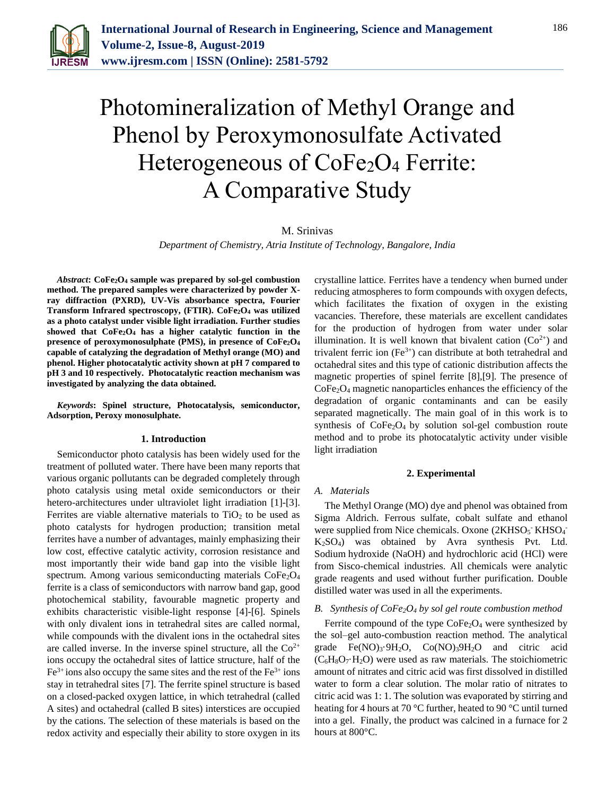

# Photomineralization of Methyl Orange and Phenol by Peroxymonosulfate Activated Heterogeneous of CoFe<sub>2</sub>O<sub>4</sub> Ferrite: A Comparative Study

## M. Srinivas

*Department of Chemistry, Atria Institute of Technology, Bangalore, India*

*Abstract***: CoFe2O<sup>4</sup> sample was prepared by sol-gel combustion method. The prepared samples were characterized by powder Xray diffraction (PXRD), UV-Vis absorbance spectra, Fourier Transform Infrared spectroscopy, (FTIR). CoFe2O<sup>4</sup> was utilized as a photo catalyst under visible light irradiation. Further studies showed that CoFe2O<sup>4</sup> has a higher catalytic function in the presence of peroxymonosulphate (PMS), in presence of CoFe2O<sup>4</sup> capable of catalyzing the degradation of Methyl orange (MO) and phenol. Higher photocatalytic activity shown at pH 7 compared to pH 3 and 10 respectively. Photocatalytic reaction mechanism was investigated by analyzing the data obtained.**

*Keywords***: Spinel structure, Photocatalysis, semiconductor, Adsorption, Peroxy monosulphate.**

#### **1. Introduction**

Semiconductor photo catalysis has been widely used for the treatment of polluted water. There have been many reports that various organic pollutants can be degraded completely through photo catalysis using metal oxide semiconductors or their hetero-architectures under ultraviolet light irradiation [1]-[3]. Ferrites are viable alternative materials to  $TiO<sub>2</sub>$  to be used as photo catalysts for hydrogen production; transition metal ferrites have a number of advantages, mainly emphasizing their low cost, effective catalytic activity, corrosion resistance and most importantly their wide band gap into the visible light spectrum. Among various semiconducting materials  $CoFe<sub>2</sub>O<sub>4</sub>$ ferrite is a class of semiconductors with narrow band gap, good photochemical stability, favourable magnetic property and exhibits characteristic visible-light response [4]-[6]. Spinels with only divalent ions in tetrahedral sites are called normal, while compounds with the divalent ions in the octahedral sites are called inverse. In the inverse spinel structure, all the  $Co<sup>2+</sup>$ ions occupy the octahedral sites of lattice structure, half of the  $Fe<sup>3+</sup>$  ions also occupy the same sites and the rest of the  $Fe<sup>3+</sup>$  ions stay in tetrahedral sites [7]. The ferrite spinel structure is based on a closed-packed oxygen lattice, in which tetrahedral (called A sites) and octahedral (called B sites) interstices are occupied by the cations. The selection of these materials is based on the redox activity and especially their ability to store oxygen in its

crystalline lattice. Ferrites have a tendency when burned under reducing atmospheres to form compounds with oxygen defects, which facilitates the fixation of oxygen in the existing vacancies. Therefore, these materials are excellent candidates for the production of hydrogen from water under solar illumination. It is well known that bivalent cation  $(Co^{2+})$  and trivalent ferric ion  $(Fe^{3+})$  can distribute at both tetrahedral and octahedral sites and this type of cationic distribution affects the magnetic properties of spinel ferrite [8],[9]. The presence of CoFe2O<sup>4</sup> magnetic nanoparticles enhances the efficiency of the degradation of organic contaminants and can be easily separated magnetically. The main goal of in this work is to synthesis of  $CoFe<sub>2</sub>O<sub>4</sub>$  by solution sol-gel combustion route method and to probe its photocatalytic activity under visible light irradiation

#### **2. Experimental**

#### *A. Materials*

The Methyl Orange (MO) dye and phenol was obtained from Sigma Aldrich. Ferrous sulfate, cobalt sulfate and ethanol were supplied from Nice chemicals. Oxone (2KHSO<sub>5</sub> KHSO<sub>4</sub> K2SO4) was obtained by Avra synthesis Pvt. Ltd. Sodium hydroxide (NaOH) and hydrochloric acid (HCl) were from Sisco-chemical industries. All chemicals were analytic grade reagents and used without further purification. Double distilled water was used in all the experiments.

#### *B. Synthesis of CoFe2O<sup>4</sup> by sol gel route combustion method*

Ferrite compound of the type  $CoFe<sub>2</sub>O<sub>4</sub>$  were synthesized by the sol–gel auto-combustion reaction method. The analytical grade Fe(NO)3·9H2O, Co(NO)39H2O and citric acid  $(C_6H_8O_7 \cdot H_2O)$  were used as raw materials. The stoichiometric amount of nitrates and citric acid was first dissolved in distilled water to form a clear solution. The molar ratio of nitrates to citric acid was 1: 1. The solution was evaporated by stirring and heating for 4 hours at 70 °C further, heated to 90 °C until turned into a gel. Finally, the product was calcined in a furnace for 2 hours at 800°C.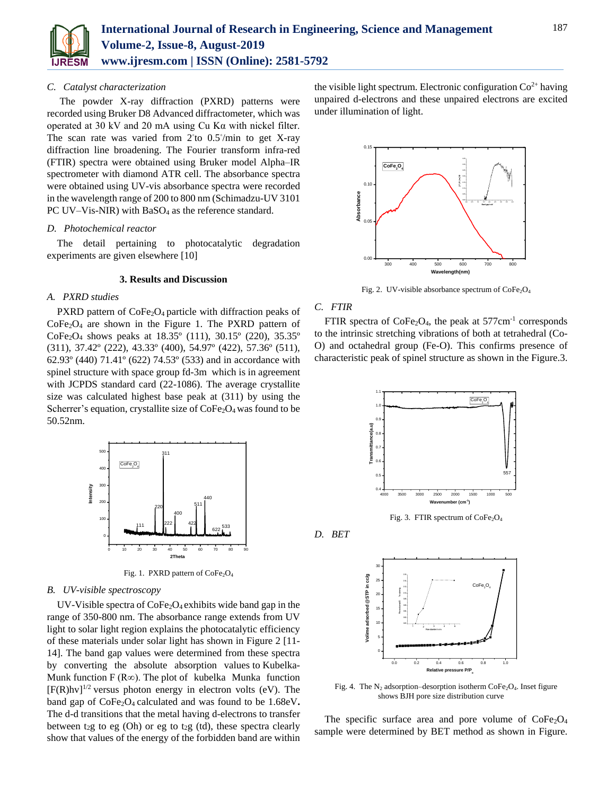

### *C. Catalyst characterization*

The powder X-ray diffraction (PXRD) patterns were recorded using Bruker D8 Advanced diffractometer, which was operated at 30 kV and 20 mA using Cu Kα with nickel filter. The scan rate was varied from 2<sup>°</sup>to 0.5°/min to get X-ray diffraction line broadening. The Fourier transform infra-red (FTIR) spectra were obtained using Bruker model Alpha–IR spectrometer with diamond ATR cell. The absorbance spectra were obtained using UV-vis absorbance spectra were recorded in the wavelength range of 200 to 800 nm (Schimadzu-UV 3101 PC UV–Vis-NIR) with  $BaSO<sub>4</sub>$  as the reference standard.

## *D. Photochemical reactor*

The detail pertaining to photocatalytic degradation experiments are given elsewhere [10]

## **3. Results and Discussion**

## *A. PXRD studies*

PXRD pattern of CoFe<sub>2</sub>O<sub>4</sub> particle with diffraction peaks of  $CoFe<sub>2</sub>O<sub>4</sub>$  are shown in the Figure 1. The PXRD pattern of CoFe<sub>2</sub>O<sub>4</sub> shows peaks at 18.35<sup>o</sup> (111), 30.15<sup>o</sup> (220), 35.35<sup>o</sup> (311), 37.42º (222), 43.33º (400), 54.97º (422), 57.36º (511), 62.93º (440) 71.41º (622) 74.53º (533) and in accordance with spinel structure with space group fd-3m which is in agreement with JCPDS standard card (22-1086). The average crystallite size was calculated highest base peak at (311) by using the Scherrer's equation, crystallite size of  $\text{CoFe}_2\text{O}_4$  was found to be 50.52nm.



Fig. 1. PXRD pattern of CoFe<sub>2</sub>O<sub>4</sub>

#### *B. UV-visible spectroscopy*

UV-Visible spectra of  $\text{CoFe}_2\text{O}_4$  exhibits wide band gap in the range of 350-800 nm. The absorbance range extends from UV light to solar light region explains the photocatalytic efficiency of these materials under solar light has shown in Figure 2 [11- 14]. The band gap values were determined from these spectra by converting the absolute absorption values to Kubelka-Munk function F ( $R\infty$ ). The plot of kubelka Munka function  $[F(R)hv]^{1/2}$  versus photon energy in electron volts (eV). The band gap of CoFe<sub>2</sub>O<sub>4</sub> calculated and was found to be 1.68eV. The d-d transitions that the metal having d-electrons to transfer between t<sub>2</sub>g to eg (Oh) or eg to t<sub>2</sub>g (td), these spectra clearly show that values of the energy of the forbidden band are within

the visible light spectrum. Electronic configuration  $Co<sup>2+</sup>$  having unpaired d-electrons and these unpaired electrons are excited under illumination of light.



Fig. 2. UV-visible absorbance spectrum of  $\text{CoFe}_2\text{O}_4$ 

## *C. FTIR*

FTIR spectra of  $\text{CoFe}_2\text{O}_4$ , the peak at 577cm<sup>-1</sup> corresponds to the intrinsic stretching vibrations of both at tetrahedral (Co-O) and octahedral group (Fe-O). This confirms presence of characteristic peak of spinel structure as shown in the Figure.3.



Fig. 3. FTIR spectrum of CoFe<sub>2</sub>O<sub>4</sub>

*D. BET*



Fig. 4. The N<sub>2</sub> adsorption–desorption isotherm  $\text{CoFe}_2\text{O}_4$ . Inset figure shows BJH pore size distribution curve

The specific surface area and pore volume of  $CoFe<sub>2</sub>O<sub>4</sub>$ sample were determined by BET method as shown in Figure.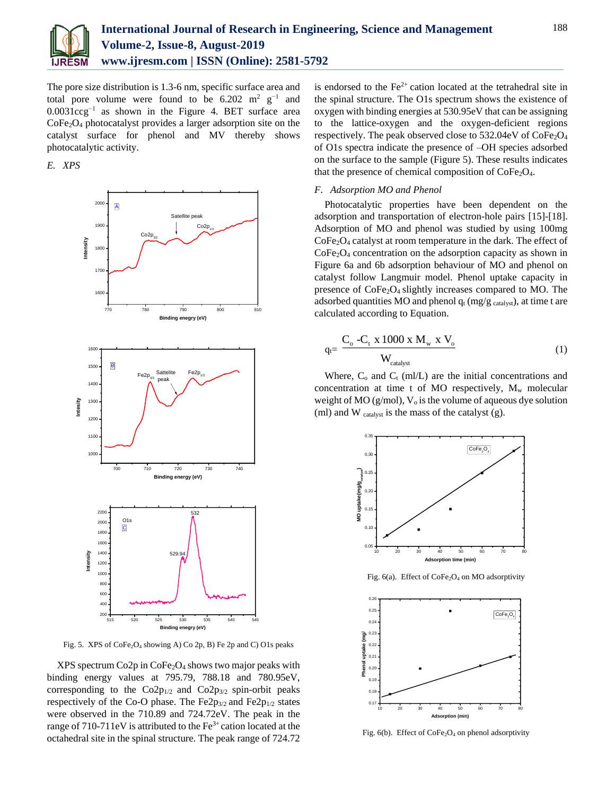

The pore size distribution is 1.3-6 nm, specific surface area and total pore volume were found to be  $6.202 \text{ m}^2 \text{ g}^{-1}$  and 0.0031ccg−1 as shown in the Figure 4. BET surface area  $CoFe<sub>2</sub>O<sub>4</sub>$  photocatalyst provides a larger adsorption site on the catalyst surface for phenol and MV thereby shows photocatalytic activity.

## *E. XPS*



Fig. 5. XPS of CoFe<sub>2</sub>O<sub>4</sub> showing A) Co 2p, B) Fe 2p and C) O1s peaks

 $XPS$  spectrum Co2p in CoFe<sub>2</sub>O<sub>4</sub> shows two major peaks with binding energy values at 795.79, 788.18 and 780.95eV, corresponding to the  $Co2p_{1/2}$  and  $Co2p_{3/2}$  spin-orbit peaks respectively of the Co-O phase. The Fe2p $_{3/2}$  and Fe2p $_{1/2}$  states were observed in the 710.89 and 724.72eV. The peak in the range of 710-711eV is attributed to the  $Fe<sup>3+</sup>$  cation located at the octahedral site in the spinal structure. The peak range of 724.72

is endorsed to the  $Fe<sup>2+</sup>$  cation located at the tetrahedral site in the spinal structure. The O1s spectrum shows the existence of oxygen with binding energies at 530.95eV that can be assigning to the lattice-oxygen and the oxygen-deficient regions respectively. The peak observed close to  $532.04 \text{eV}$  of  $\text{CoFe}_2\text{O}_4$ of O1s spectra indicate the presence of –OH species adsorbed on the surface to the sample (Figure 5). These results indicates that the presence of chemical composition of  $\text{CoFe}_2\text{O}_4$ .

### *F. Adsorption MO and Phenol*

Photocatalytic properties have been dependent on the adsorption and transportation of electron-hole pairs [15]-[18]. Adsorption of MO and phenol was studied by using 100mg CoFe2O<sup>4</sup> catalyst at room temperature in the dark. The effect of CoFe<sub>2</sub>O<sub>4</sub> concentration on the adsorption capacity as shown in Figure 6a and 6b adsorption behaviour of MO and phenol on catalyst follow Langmuir model. Phenol uptake capacity in presence of CoFe<sub>2</sub>O<sub>4</sub> slightly increases compared to MO. The adsorbed quantities MO and phenol  $q_t$  (mg/g  $_{\text{catalyst}}$ ), at time t are calculated according to Equation.

$$
q_t = \frac{C_o - C_t \times 1000 \times M_w \times V_o}{W_{\text{catalyst}}}
$$
 (1)

Where,  $C_0$  and  $C_t$  (ml/L) are the initial concentrations and concentration at time t of MO respectively,  $M_w$  molecular weight of MO (g/mol),  $V_0$  is the volume of aqueous dye solution (ml) and W catalyst is the mass of the catalyst (g).



Fig. 6(a). Effect of CoFe<sub>2</sub>O<sub>4</sub> on MO adsorptivity



Fig. 6(b). Effect of  $CoFe<sub>2</sub>O<sub>4</sub>$  on phenol adsorptivity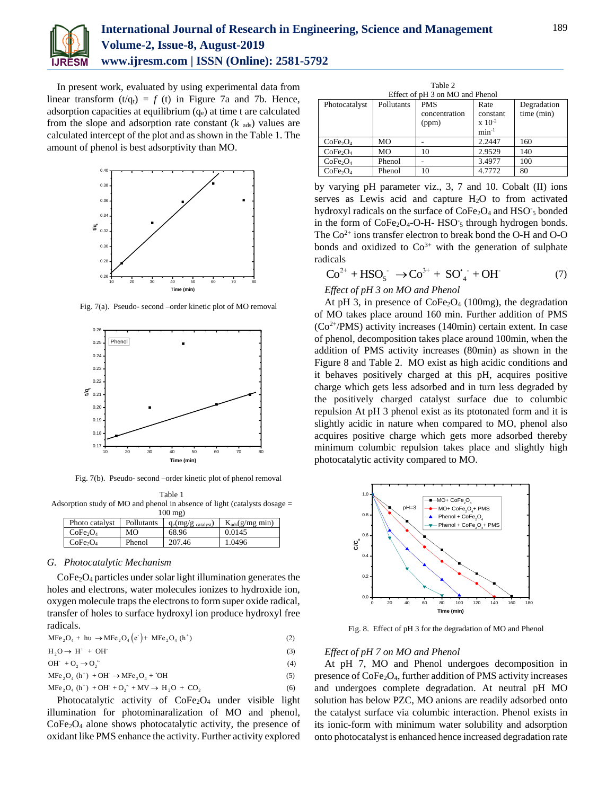

## **International Journal of Research in Engineering, Science and Management Volume-2, Issue-8, August-2019 www.ijresm.com | ISSN (Online): 2581-5792**

In present work, evaluated by using experimental data from linear transform  $(t/q_t) = f(t)$  in Figure 7a and 7b. Hence, adsorption capacities at equilibrium  $(q_e)$  at time t are calculated from the slope and adsorption rate constant  $(k_{ads})$  values are calculated intercept of the plot and as shown in the Table 1. The amount of phenol is best adsorptivity than MO.



Fig. 7(a). Pseudo- second –order kinetic plot of MO removal



Fig. 7(b). Pseudo- second –order kinetic plot of phenol removal

Table 1 Adsorption study of MO and phenol in absence of light (catalysts dosage =  $100 \text{ ma}$ 

| $100 \, \text{m/s}$              |            |                                |                     |  |  |  |  |  |
|----------------------------------|------------|--------------------------------|---------------------|--|--|--|--|--|
| Photo catalyst                   | Pollutants | $q_e(mg/g_{\text{ catalyst}})$ | $K_{ads}(g/mg min)$ |  |  |  |  |  |
| CoFe <sub>2</sub> O <sub>4</sub> | MО         | 68.96                          | 0.0145              |  |  |  |  |  |
| CoFe <sub>2</sub> O <sub>4</sub> | Phenol     | 207.46                         | 1.0496              |  |  |  |  |  |

### *G. Photocatalytic Mechanism*

 $CoFe<sub>2</sub>O<sub>4</sub>$  particles under solar light illumination generates the holes and electrons, water molecules ionizes to hydroxide ion, oxygen molecule traps the electrons to form super oxide radical, transfer of holes to surface hydroxyl ion produce hydroxyl free radicals.

| $\text{MFe}_2\text{O}_4 + \text{hv} \rightarrow \text{MFe}_2\text{O}_4(\text{e}^{\cdot}) + \text{MFe}_2\text{O}_4(\text{h}^{\cdot})$ |  |  |  |  |
|--------------------------------------------------------------------------------------------------------------------------------------|--|--|--|--|
|--------------------------------------------------------------------------------------------------------------------------------------|--|--|--|--|

$$
H_2O \to H^+ + OH^- \tag{3}
$$

 $OH + O<sub>2</sub> \rightarrow O<sub>2</sub>$ <sup>(4)</sup>  $MFe<sub>2</sub>O<sub>4</sub> (h<sup>+</sup>) + OH<sup>-</sup> \rightarrow MFe<sub>2</sub>O<sub>4</sub> + OH$  (5)

$$
MFe2O4 (h+) + OH+ + O2+ + MV  $\rightarrow$  H<sub>2</sub>O + CO<sub>2</sub>
$$
 (6)

Photocatalytic activity of  $CoFe<sub>2</sub>O<sub>4</sub>$  under visible light illumination for photominaralization of MO and phenol,  $CoFe<sub>2</sub>O<sub>4</sub>$  alone shows photocatalytic activity, the presence of oxidant like PMS enhance the activity. Further activity explored

| Table 2                          |            |               |                 |             |  |  |  |  |
|----------------------------------|------------|---------------|-----------------|-------------|--|--|--|--|
| Effect of pH 3 on MO and Phenol  |            |               |                 |             |  |  |  |  |
| Photocatalyst                    | Pollutants | <b>PMS</b>    | Rate            | Degradation |  |  |  |  |
|                                  |            | concentration | constant        | time (min)  |  |  |  |  |
|                                  |            | (ppm)         | $\rm x 10^{-2}$ |             |  |  |  |  |
|                                  |            |               | $min^{-1}$      |             |  |  |  |  |
| CoFe <sub>2</sub> O <sub>4</sub> | <b>MO</b>  |               | 2.2447          | 160         |  |  |  |  |
| CoFe <sub>2</sub> O <sub>4</sub> | <b>MO</b>  | 10            | 2.9529          | 140         |  |  |  |  |
| CoFe <sub>2</sub> O <sub>4</sub> | Phenol     |               | 3.4977          | 100         |  |  |  |  |
| CoFe <sub>2</sub> O <sub>4</sub> | Phenol     | 10            | 4.7772          | 80          |  |  |  |  |

by varying pH parameter viz., 3, 7 and 10. Cobalt (II) ions serves as Lewis acid and capture H2O to from activated hydroxyl radicals on the surface of CoFe<sub>2</sub>O<sub>4</sub> and HSO<sub>5</sub> bonded in the form of CoFe<sub>2</sub>O<sub>4</sub>-O-H- HSO<sub>5</sub> through hydrogen bonds. The  $Co<sup>2+</sup>$  ions transfer electron to break bond the O-H and O-O bonds and oxidized to  $Co<sup>3+</sup>$  with the generation of sulphate radicals

$$
Co^{2+} + HSO_5^- \to Co^{3+} + SO_4^- + OH^- \tag{7}
$$

## *Effect of pH 3 on MO and Phenol*

At pH 3, in presence of  $\text{CoFe}_2\text{O}_4$  (100mg), the degradation of MO takes place around 160 min. Further addition of PMS  $(Co^{2+}/PMS)$  activity increases (140min) certain extent. In case of phenol, decomposition takes place around 100min, when the addition of PMS activity increases (80min) as shown in the Figure 8 and Table 2. MO exist as high acidic conditions and it behaves positively charged at this pH, acquires positive charge which gets less adsorbed and in turn less degraded by the positively charged catalyst surface due to columbic repulsion At pH 3 phenol exist as its ptotonated form and it is slightly acidic in nature when compared to MO, phenol also acquires positive charge which gets more adsorbed thereby minimum columbic repulsion takes place and slightly high photocatalytic activity compared to MO.



Fig. 8. Effect of pH 3 for the degradation of MO and Phenol

#### *Effect of pH 7 on MO and Phenol*

At pH 7, MO and Phenol undergoes decomposition in presence of CoFe2O4, further addition of PMS activity increases and undergoes complete degradation. At neutral pH MO solution has below PZC, MO anions are readily adsorbed onto the catalyst surface via columbic interaction. Phenol exists in its ionic-form with minimum water solubility and adsorption onto photocatalyst is enhanced hence increased degradation rate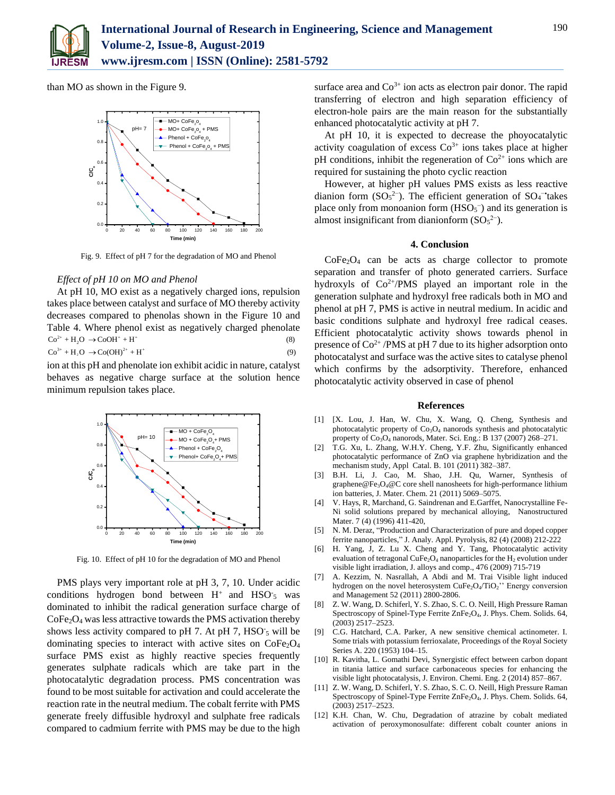

than MO as shown in the Figure 9.



Fig. 9. Effect of pH 7 for the degradation of MO and Phenol

## *Effect of pH 10 on MO and Phenol*

At pH 10, MO exist as a negatively charged ions, repulsion takes place between catalyst and surface of MO thereby activity decreases compared to phenolas shown in the Figure 10 and Table 4. Where phenol exist as negatively charged phenolate  $\text{Co}^{3+} + \text{H}_2\text{O} \rightarrow \text{Co}(\text{OH})^{2+} + \text{H}^+$  (9)  $\text{Co}^{2+} + \text{H}_2\text{O} \rightarrow \text{CoOH}^+ + \text{H}^+$  (8)

ion at this pH and phenolate ion exhibit acidic in nature, catalyst behaves as negative charge surface at the solution hence minimum repulsion takes place.



Fig. 10. Effect of pH 10 for the degradation of MO and Phenol

PMS plays very important role at pH 3, 7, 10. Under acidic conditions hydrogen bond between  $H^+$  and  $HSO_5$  was dominated to inhibit the radical generation surface charge of CoFe2O<sup>4</sup> was less attractive towards the PMS activation thereby shows less activity compared to pH 7. At pH 7,  $HSO<sub>5</sub>$  will be dominating species to interact with active sites on  $\text{CoFe}_2\text{O}_4$ surface PMS exist as highly reactive species frequently generates sulphate radicals which are take part in the photocatalytic degradation process. PMS concentration was found to be most suitable for activation and could accelerate the reaction rate in the neutral medium. The cobalt ferrite with PMS generate freely diffusible hydroxyl and sulphate free radicals compared to cadmium ferrite with PMS may be due to the high

surface area and  $Co<sup>3+</sup>$  ion acts as electron pair donor. The rapid transferring of electron and high separation efficiency of electron-hole pairs are the main reason for the substantially enhanced photocatalytic activity at pH 7.

At pH 10, it is expected to decrease the phoyocatalytic activity coagulation of excess  $Co<sup>3+</sup>$  ions takes place at higher pH conditions, inhibit the regeneration of  $Co<sup>2+</sup>$  ions which are required for sustaining the photo cyclic reaction

However, at higher pH values PMS exists as less reactive dianion form  $(SO<sub>5</sub><sup>2–</sup>)$ . The efficient generation of  $SO<sub>4</sub><sup>–</sup>$ takes place only from monoanion form  $(HSO<sub>5</sub><sup>-</sup>)$  and its generation is almost insignificant from dianionform  $(SO<sub>5</sub><sup>2</sup>$ .

## **4. Conclusion**

 $CoFe<sub>2</sub>O<sub>4</sub>$  can be acts as charge collector to promote separation and transfer of photo generated carriers. Surface hydroxyls of  $Co^{2+}/PMS$  played an important role in the generation sulphate and hydroxyl free radicals both in MO and phenol at pH 7, PMS is active in neutral medium. In acidic and basic conditions sulphate and hydroxyl free radical ceases. Efficient photocatalytic activity shows towards phenol in presence of  $Co^{2+}/PMS$  at pH 7 due to its higher adsorption onto photocatalyst and surface was the active sites to catalyse phenol which confirms by the adsorptivity. Therefore, enhanced photocatalytic activity observed in case of phenol

#### **References**

- [1] [X. Lou, J. Han, W. Chu, X. Wang, Q. Cheng, Synthesis and photocatalytic property of Co<sub>3</sub>O<sub>4</sub> nanorods synthesis and photocatalytic property of  $Co<sub>3</sub>O<sub>4</sub>$  nanorods, Mater. Sci. Eng.: B 137 (2007) 268–271.
- [2] T.G. Xu, L. Zhang, W.H.Y. Cheng, Y.F. Zhu, Significantly enhanced photocatalytic performance of ZnO via graphene hybridization and the mechanism study, Appl Catal. B. 101 (2011) 382–387.
- [3] B.H. Li, J. Cao, M. Shao, J.H. Qu, Warner, Synthesis of graphene@Fe3O4@C core shell nanosheets for high-performance lithium ion batteries, J. Mater. Chem. 21 (2011) 5069–5075.
- [4] V. Hays, R, Marchand, G. Saindrenan and E.Garffet, Nanocrystalline Fe-Ni solid solutions prepared by mechanical alloying, Nanostructured Mater. 7 (4) (1996) 411-420,
- [5] N. M. Deraz, "Production and Characterization of pure and doped copper ferrite nanoparticles," J. Analy. Appl. Pyrolysis, 82 (4) (2008) 212-222
- [6] H. Yang, J, Z. Lu X. Cheng and Y. Tang, Photocatalytic activity evaluation of tetragonal CuFe<sub>2</sub>O<sub>4</sub> nanoparticles for the  $H_2$  evolution under visible light irradiation, J. alloys and comp., 476 (2009) 715-719
- [7] A. Kezzim, N. Nasrallah, A Abdi and M. Trai Visible light induced hydrogen on the novel heterosystem CuFe<sub>2</sub>O<sub>4</sub>/TiO<sub>2</sub>" Energy conversion and Management 52 (2011) 2800-2806.
- [8] Z. W. Wang, D. Schiferl, Y. S. Zhao, S. C. O. Neill, High Pressure Raman Spectroscopy of Spinel-Type Ferrite ZnFe<sub>2</sub>O<sub>4</sub>, J. Phys. Chem. Solids. 64, (2003) 2517–2523.
- [9] C.G. Hatchard, C.A. Parker, A new sensitive chemical actinometer. I. Some trials with potassium ferrioxalate, Proceedings of the Royal Society Series A. 220 (1953) 104–15.
- [10] R. Kavitha, L. Gomathi Devi, Synergistic effect between carbon dopant in titania lattice and surface carbonaceous species for enhancing the visible light photocatalysis, J. Environ. Chemi. Eng. 2 (2014) 857–867.
- [11] Z. W. Wang, D. Schiferl, Y. S. Zhao, S. C. O. Neill, High Pressure Raman Spectroscopy of Spinel-Type Ferrite ZnFe<sub>2</sub>O<sub>4</sub>, J. Phys. Chem. Solids. 64, (2003) 2517–2523.
- [12] K.H. Chan, W. Chu, Degradation of atrazine by cobalt mediated activation of peroxymonosulfate: different cobalt counter anions in